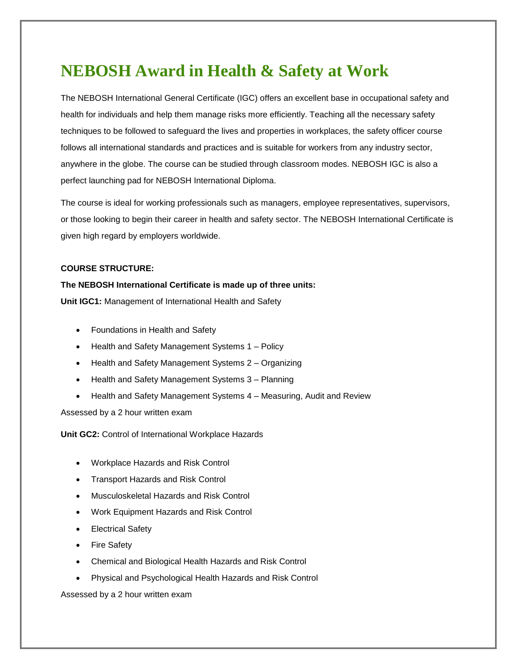## **NEBOSH Award in Health & Safety at Work**

The NEBOSH International General Certificate (IGC) offers an excellent base in occupational safety and health for individuals and help them manage risks more efficiently. Teaching all the necessary safety techniques to be followed to safeguard the lives and properties in workplaces, the safety officer course follows all international standards and practices and is suitable for workers from any industry sector, anywhere in the globe. The course can be studied through classroom modes. NEBOSH IGC is also a perfect launching pad for NEBOSH International Diploma.

The course is ideal for working professionals such as managers, employee representatives, supervisors, or those looking to begin their career in health and safety sector. The NEBOSH International Certificate is given high regard by employers worldwide.

## **COURSE STRUCTURE:**

## **The NEBOSH International Certificate is made up of three units:**

**Unit IGC1:** Management of International Health and Safety

- Foundations in Health and Safety
- Health and Safety Management Systems 1 Policy
- Health and Safety Management Systems 2 Organizing
- Health and Safety Management Systems 3 Planning
- Health and Safety Management Systems 4 Measuring, Audit and Review

Assessed by a 2 hour written exam

**Unit GC2:** Control of International Workplace Hazards

- Workplace Hazards and Risk Control
- Transport Hazards and Risk Control
- Musculoskeletal Hazards and Risk Control
- Work Equipment Hazards and Risk Control
- Electrical Safety
- Fire Safety
- Chemical and Biological Health Hazards and Risk Control
- Physical and Psychological Health Hazards and Risk Control

Assessed by a 2 hour written exam